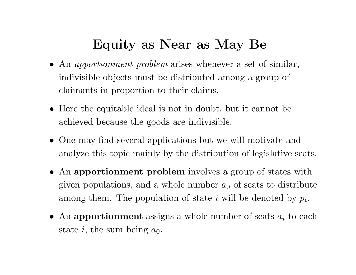# **Equity as Near as May Be**

- An *apportionment problem* arises whenever <sup>a</sup> set of similar, indivisible objects must be distributed among <sup>a</sup> group of claimants in proportion to their claims.
- Here the equitable ideal is not in doubt, but it cannot be achieved because the goods are indivisible.
- One may find several applications but we will motivate and analyze this topic mainly by the distribution of legislative seats.
- An **apportionment problem** involves <sup>a</sup> group of states with given populations, and a whole number  $a_0$  of seats to distribute among them. The population of state *i* will be denoted by *pi*.
- An apportionment assigns a whole number of seats  $a_i$  to each state  $i$ , the sum being  $a_0$ .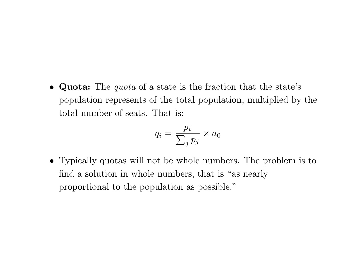• **Quota:** The *quota* of <sup>a</sup> state is the fraction that the state's population represents of the total population, multiplied by the total number of seats. That is:

$$
q_i = \frac{p_i}{\sum_j p_j} \times a_0
$$

• Typically quotas will not be whole numbers. The problem is to find <sup>a</sup> solution in whole numbers, that is "as nearly proportional to the population as possible."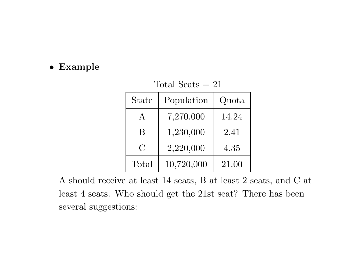#### • **Example**

| Total Seats $=21$ |            |       |  |
|-------------------|------------|-------|--|
| State             | Quota      |       |  |
| $\mathbf{A}$      | 7,270,000  | 14.24 |  |
| B                 | 1,230,000  | 2.41  |  |
| $\overline{C}$    | 2,220,000  | 4.35  |  |
| Total             | 10,720,000 | 21.00 |  |

A should receive at least 14 seats, B at least 2 seats, and C at least 4 seats. Who should get the 21st seat? There has been

several suggestions: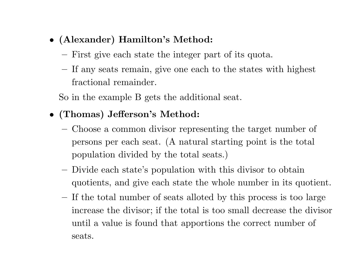- **(Alexander) Hamilton's Method:**
	- **–**First give each state the integer part of its quota.
	- **–** If any seats remain, give one each to the states with highest fractional remainder.

So in the example B gets the additional seat.

- **(Thomas) Jefferson's Method:**
	- **–** Choose <sup>a</sup> common divisor representing the target number of persons per each seat. (A natural starting point is the total population divided by the total seats.)
	- **–** Divide each state's population with this divisor to obtain quotients, and give each state the whole number in its quotient.
	- **–** If the total number of seats alloted by this process is too large increase the divisor; if the total is too small decrease the divisor until <sup>a</sup> value is found that apportions the correct number of seats.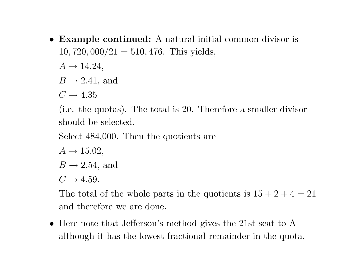• **Example continued:** A natural initial common divisor is <sup>10</sup>*,* <sup>720</sup>*,* <sup>000</sup>*/*<sup>21</sup> <sup>=</sup> <sup>510</sup>*,* 476. This <sup>y</sup>ields,

 $A \rightarrow 14.24$ ,

 $B \rightarrow 2.41$ , and

 $C \rightarrow 4.35$ 

(i.e. the quotas). The total is 20. Therefore <sup>a</sup> smaller divisor should be selected.

Select 484,000. Then the quotients are

- $A \rightarrow 15.02$ ,
- $B \rightarrow 2.54$ , and

 $C \rightarrow 4.59$ .

The total of the whole parts in the quotients is  $15 + 2 + 4 = 21$ and therefore we are done.

• Here note that Jefferson's method gives the 21st seat to A although it has the lowest fractional remainder in the quota.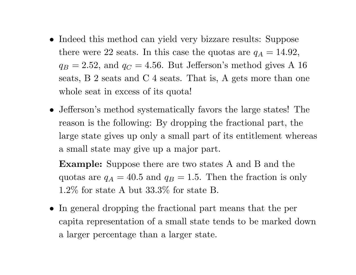- Indeed this method can <sup>y</sup>ield very bizzare results: Suppose there were 22 seats. In this case the quotas are  $q_A = 14.92$ ,  $q_B = 2.52$ , and  $q_C = 4.56$ . But Jefferson's method gives A 16 seats, B 2 seats and C 4 seats. That is, A gets more than one whole seat in excess of its quota!
- Jefferson's method systematically favors the large states! The reason is the following: By dropping the fractional part, the large state gives up only <sup>a</sup> small part of its entitlement whereas <sup>a</sup> small state may give up <sup>a</sup> major part.

**Example:** Suppose there are two states A and B and the quotas are  $q_A = 40.5$  and  $q_B = 1.5$ . Then the fraction is only 1.2% for state A but 33.3% for state B.

• In general dropping the fractional part means that the per capita representation of <sup>a</sup> small state tends to be marked down <sup>a</sup> larger percentage than <sup>a</sup> larger state.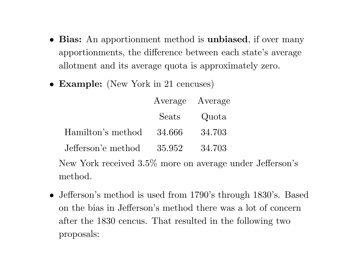- **Bias:** An apportionment method is **unbiased**, if over many apportionments, the difference between each state's average allotment and its average quota is approximately zero.
- **Example:** (New York in <sup>21</sup> cencuses)

|                    | Average Average |        |
|--------------------|-----------------|--------|
|                    | Seats           | Quota  |
| Hamilton's method  | 34.666          | 34.703 |
| Jefferson's method | 35.952          | 34.703 |
|                    |                 |        |

New York received 3.5% more on average under Jefferson's method.

• Jefferson's method is used from 1790's through 1830's. Based on the bias in Jefferson's method there was <sup>a</sup> lot of concern after the 1830 cencus. That resulted in the following two proposals: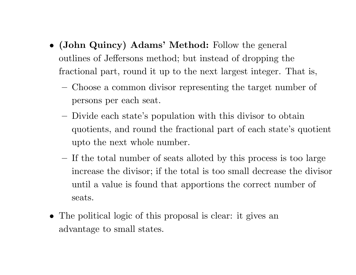- **(John Quincy) Adams' Method:** Follow the genera<sup>l</sup> outlines of Jeffersons method; but instead of dropping the fractional part, round it up to the next largest integer. That is,
	- Choose <sup>a</sup> common divisor representing the target number of persons per each seat.
	- Divide each state's population with this divisor to obtain quotients, and round the fractional part of each state's quotient upto the next whole number.
	- **–** If the total number of seats alloted by this process is too large increase the divisor; if the total is too small decrease the divisor until <sup>a</sup> value is found that apportions the correct number of seats.
- The political logic of this proposal is clear: it gives an advantage to small states.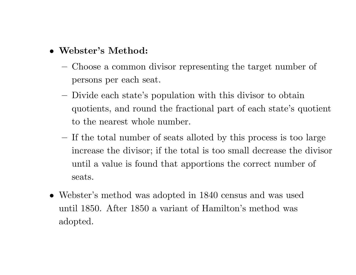### • **Webster's Method:**

- Choose <sup>a</sup> common divisor representing the target number of persons per each seat.
- **–** Divide each state's population with this divisor to obtain quotients, and round the fractional part of each state's quotient to the nearest whole number.
- **–** If the total number of seats alloted by this process is too large increase the divisor; if the total is too small decrease the divisor until <sup>a</sup> value is found that apportions the correct number of seats.
- Webster's method was adopted in 1840 census and was used until 1850. After 1850 <sup>a</sup> variant of Hamilton's method was adopted.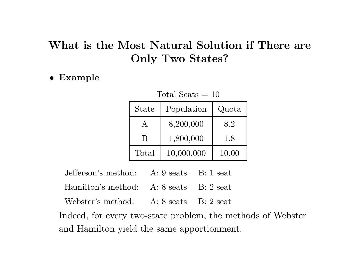## **What is the Most Natural Solution if There are Only Two States?**

• **Example**

| <b>State</b> | Population | Quota |
|--------------|------------|-------|
|              | 8,200,000  | 8.2   |
| B            | 1,800,000  | 1.8   |
| Total        | 10,000,000 | 10.00 |

Total Seats  $= 10$ 

- Jefferson's method: A: 9 seats B: 1 seat
- Hamilton's method: A: 8 seats B: 2 seat
- Webster's method: A: 8 seats B: 2 seat

Indeed, for every two-state problem, the methods of Webster and Hamilton yield the same apportionment.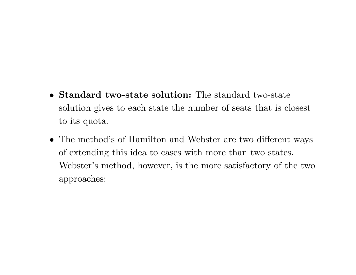- **Standard two-state solution:** The standard two-state solution gives to each state the number of seats that is closest to its quota.
- The method's of Hamilton and Webster are two different ways of extending this idea to cases with more than two states. Webster's method, however, is the more satisfactory of the two approaches: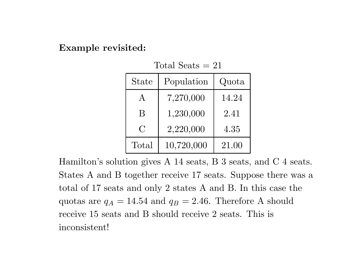#### **Example revisited:**

|  | Total Seats $= 21$ |  |  |
|--|--------------------|--|--|
|--|--------------------|--|--|

| <b>State</b> | Population | Quota |
|--------------|------------|-------|
| $\mathbf{A}$ | 7,270,000  | 14.24 |
| B            | 1,230,000  | 2.41  |
| $\bigcap$    | 2,220,000  | 4.35  |
| Total        | 10,720,000 | 21.00 |

Hamilton's solution gives A 14 seats, B 3 seats, and C 4 seats. States A and B together receive 17 seats. Suppose there was <sup>a</sup> total of 17 seats and only 2 states A and B. In this case the quotas are  $q_A = 14.54$  and  $q_B = 2.46$ . Therefore A should receive 15 seats and B should receive 2 seats. This is inconsistent!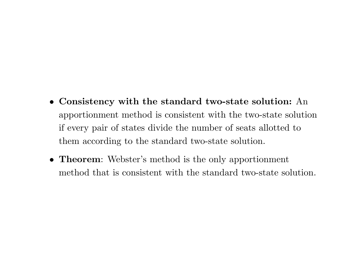- **Consistency with the standard two-state solution:** An apportionment method is consistent with the two-state solution if every pair of states divide the number of seats allotted to them according to the standard two-state solution.
- **Theorem**: Webster's method is the only apportionment method that is consistent with the standard two-state solution.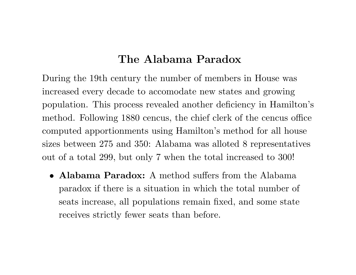### **The Alabama Paradox**

During the 19th century the number of members in House was increased every decade to accomodate new states and growing population. This process revealed another deficiency in Hamilton's method. Following 1880 cencus, the chief clerk of the cencus office computed apportionments using Hamilton's method for all house sizes between 275 and 350: Alabama was alloted 8 representatives out of <sup>a</sup> total 299, but only 7 when the total increased to 300!

• **Alabama Paradox:** A method suffers from the Alabama paradox if there is <sup>a</sup> situation in which the total number of seats increase, all populations remain fixed, and some state receives strictly fewer seats than before.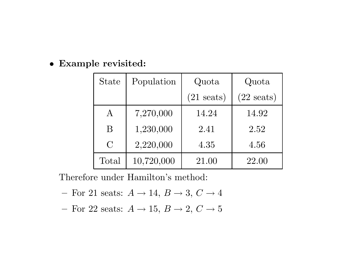#### • **Example revisited:**

| <b>State</b> | Population | Quota                | Quota                |
|--------------|------------|----------------------|----------------------|
|              |            | $(21 \text{ seats})$ | $(22 \text{ seats})$ |
| $\rm A$      | 7,270,000  | 14.24                | 14.92                |
| B            | 1,230,000  | 2.41                 | 2.52                 |
| $\bigcap$    | 2,220,000  | 4.35                 | 4.56                 |
| Total        | 10,720,000 | 21.00                | 22.00                |

Therefore under Hamilton's method:

- **–** $-$  For 21 seats:  $A \rightarrow 14, B \rightarrow 3, C \rightarrow 4$
- **–** $-$  For 22 seats:  $A \rightarrow 15, B \rightarrow 2, C \rightarrow 5$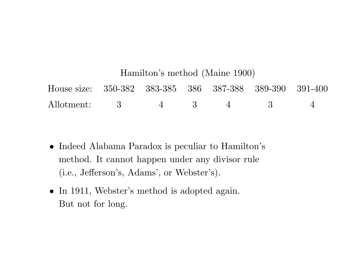# Hamilton's method (Maine 1900) House size: 350-382 383-385 386 387-388 389-390 391-400 Allotment: 3 4 3 4 3 4

- Indeed Alabama Paradox is peculiar to Hamilton's method. It cannot happen under any divisor rule (i.e., Jefferson's, Adams', or Webster's).
- In 1911, Webster's method is adopted again. But not for long.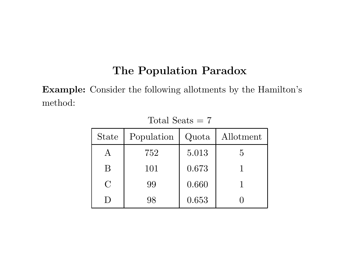## **The Population Paradox**

**Example:** Consider the following allotments by the Hamilton's method:

| <b>State</b> | Population | Quota | Allotment |
|--------------|------------|-------|-----------|
|              | 752        | 5.013 | 5         |
| B            | 101        | 0.673 |           |
| $\bigcap$    | 99         | 0.660 |           |
|              | 98         | 0.653 |           |

Total Seats  $= 7$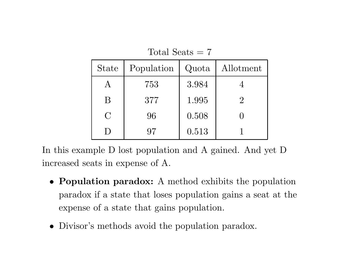| <b>State</b> | Population | Quota | Allotment |
|--------------|------------|-------|-----------|
|              | 753        | 3.984 |           |
| $\mathsf B$  | 377        | 1.995 | $2\,$     |
| $\bigcap$    | 96         | 0.508 |           |
|              | 97         | 0.513 |           |

Total Seats <sup>=</sup> 7

In this example D lost population and A gained. And yet D increased seats in expense of A.

- **Population paradox:** A method exhibits the population paradox if <sup>a</sup> state that loses population gains <sup>a</sup> seat at the expense of <sup>a</sup> state that gains population.
- Divisor's methods avoid the population paradox.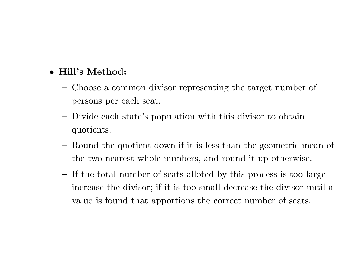#### • **Hill's Method:**

- **–** Choose <sup>a</sup> common divisor representing the target number of persons per each seat.
- **–** Divide each state's population with this divisor to obtain quotients.
- Round the quotient down if it is less than the geometric mean of the two nearest whole numbers, and round it up otherwise.
- **–** If the total number of seats alloted by this process is too large increase the divisor; if it is too small decrease the divisor until <sup>a</sup> value is found that apportions the correct number of seats.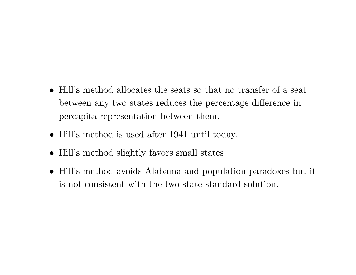- Hill's method allocates the seats so that no transfer of <sup>a</sup> seat between any two states reduces the percentage difference in percapita representation between them.
- Hill's method is used after 1941 until today.
- Hill's method slightly favors small states.
- Hill's method avoids Alabama and population paradoxes but it is not consistent with the two-state standard solution.